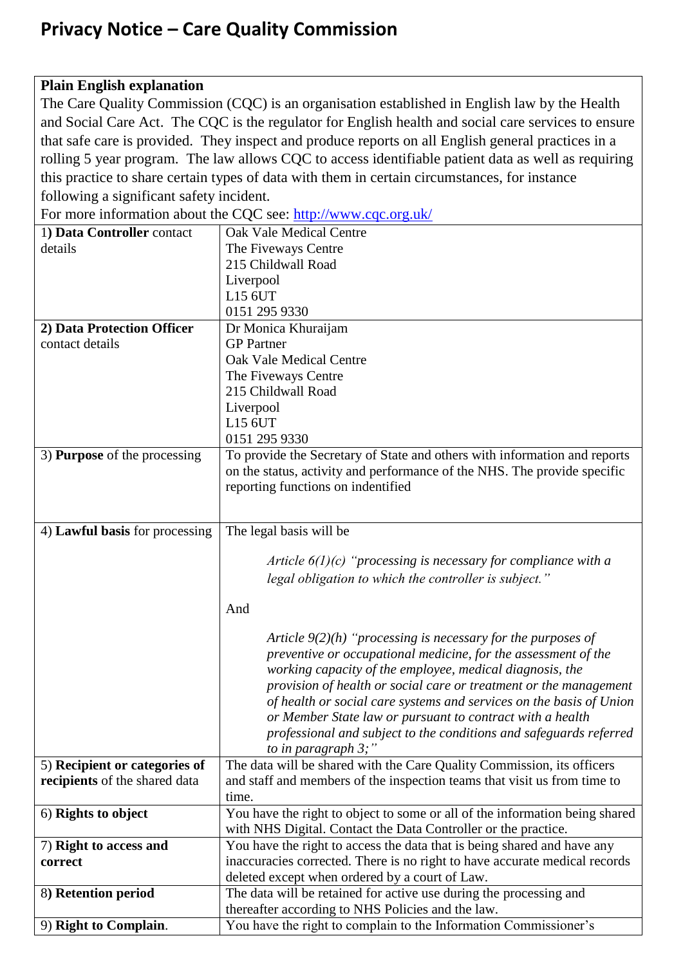## **Privacy Notice – Care Quality Commission**

## **Plain English explanation**

The Care Quality Commission (CQC) is an organisation established in English law by the Health and Social Care Act. The CQC is the regulator for English health and social care services to ensure that safe care is provided. They inspect and produce reports on all English general practices in a rolling 5 year program. The law allows CQC to access identifiable patient data as well as requiring this practice to share certain types of data with them in certain circumstances, for instance following a significant safety incident.

For more information about the CQC see:<http://www.cqc.org.uk/> 1**) Data Controller** contact details Oak Vale Medical Centre The Fiveways Centre 215 Childwall Road

|                                     | 215 Childwall Road                                                          |
|-------------------------------------|-----------------------------------------------------------------------------|
|                                     | Liverpool                                                                   |
|                                     | L15 6UT                                                                     |
|                                     | 0151 295 9330                                                               |
| 2) Data Protection Officer          | Dr Monica Khuraijam                                                         |
| contact details                     | <b>GP</b> Partner                                                           |
|                                     | <b>Oak Vale Medical Centre</b>                                              |
|                                     | The Fiveways Centre                                                         |
|                                     | 215 Childwall Road                                                          |
|                                     | Liverpool                                                                   |
|                                     | L15 6UT                                                                     |
|                                     | 0151 295 9330                                                               |
|                                     |                                                                             |
| 3) <b>Purpose</b> of the processing | To provide the Secretary of State and others with information and reports   |
|                                     | on the status, activity and performance of the NHS. The provide specific    |
|                                     | reporting functions on indentified                                          |
|                                     |                                                                             |
| 4) Lawful basis for processing      | The legal basis will be                                                     |
|                                     |                                                                             |
|                                     | Article $6(1)(c)$ "processing is necessary for compliance with a            |
|                                     | legal obligation to which the controller is subject."                       |
|                                     |                                                                             |
|                                     | And                                                                         |
|                                     |                                                                             |
|                                     | Article $9(2)(h)$ "processing is necessary for the purposes of              |
|                                     | preventive or occupational medicine, for the assessment of the              |
|                                     | working capacity of the employee, medical diagnosis, the                    |
|                                     | provision of health or social care or treatment or the management           |
|                                     | of health or social care systems and services on the basis of Union         |
|                                     |                                                                             |
|                                     | or Member State law or pursuant to contract with a health                   |
|                                     | professional and subject to the conditions and safeguards referred          |
|                                     | to in paragraph $3$ ;"                                                      |
| 5) Recipient or categories of       | The data will be shared with the Care Quality Commission, its officers      |
| recipients of the shared data       | and staff and members of the inspection teams that visit us from time to    |
|                                     | time.                                                                       |
| 6) Rights to object                 | You have the right to object to some or all of the information being shared |
|                                     | with NHS Digital. Contact the Data Controller or the practice.              |
| 7) Right to access and              | You have the right to access the data that is being shared and have any     |
| correct                             | inaccuracies corrected. There is no right to have accurate medical records  |
|                                     | deleted except when ordered by a court of Law.                              |
| 8) Retention period                 | The data will be retained for active use during the processing and          |
|                                     | thereafter according to NHS Policies and the law.                           |
| 9) Right to Complain.               | You have the right to complain to the Information Commissioner's            |